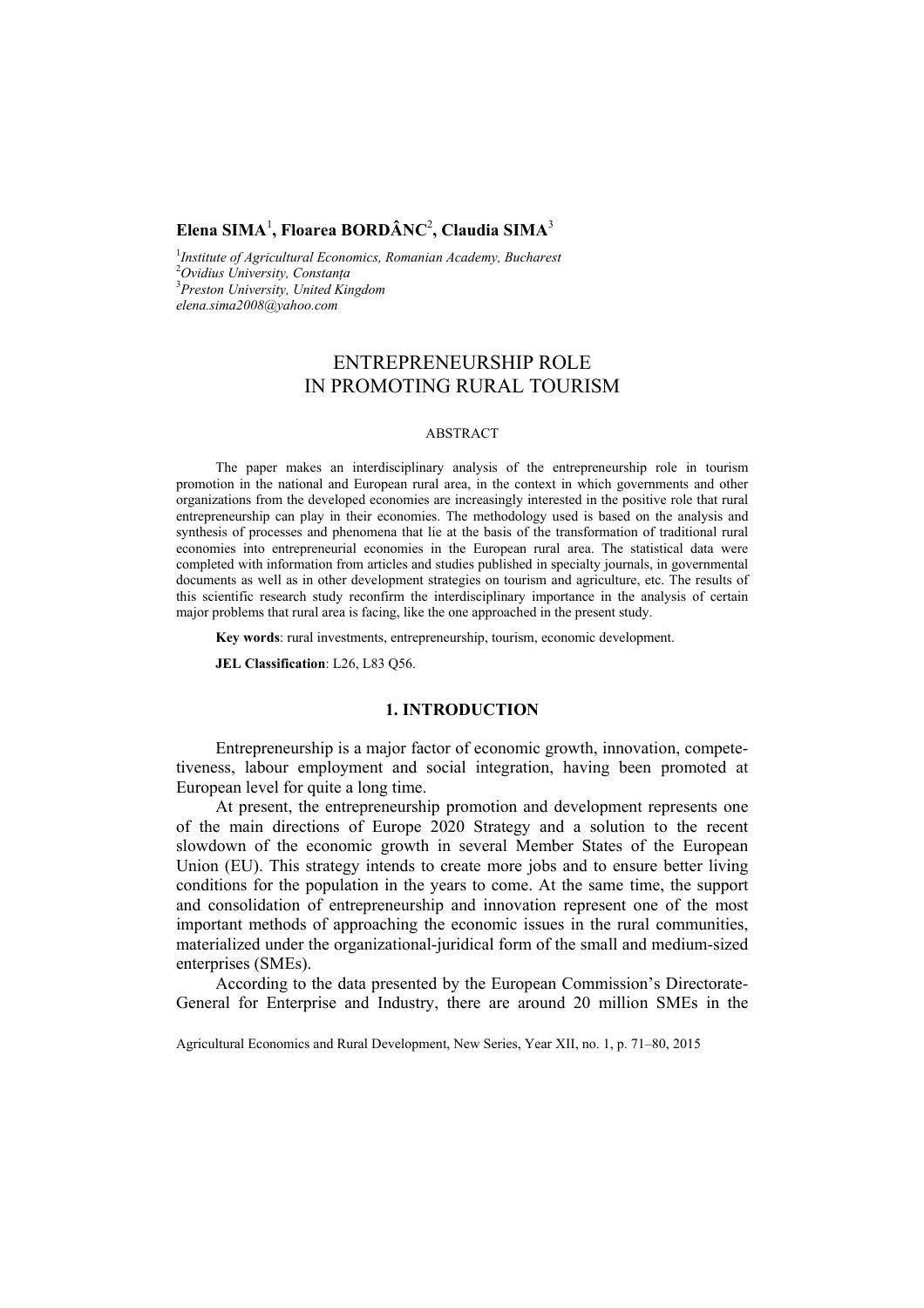## **Elena SIMA**<sup>1</sup> **, Floarea BORDÂNC**<sup>2</sup> **, Claudia SIMA**<sup>3</sup>

<sup>1</sup>Institute of Agricultural Economics, Romanian Academy, Bucharest <sup>2</sup>Ovidius University Constants *Ovidius University, Constanţa*  3 *Preston University, United Kingdom elena.sima2008@yahoo.com*

# ENTREPRENEURSHIP ROLE IN PROMOTING RURAL TOURISM

#### ABSTRACT

The paper makes an interdisciplinary analysis of the entrepreneurship role in tourism promotion in the national and European rural area, in the context in which governments and other organizations from the developed economies are increasingly interested in the positive role that rural entrepreneurship can play in their economies. The methodology used is based on the analysis and synthesis of processes and phenomena that lie at the basis of the transformation of traditional rural economies into entrepreneurial economies in the European rural area. The statistical data were completed with information from articles and studies published in specialty journals, in governmental documents as well as in other development strategies on tourism and agriculture, etc. The results of this scientific research study reconfirm the interdisciplinary importance in the analysis of certain major problems that rural area is facing, like the one approached in the present study.

**Key words**: rural investments, entrepreneurship, tourism, economic development.

**JEL Classification**: L26, L83 Q56.

## **1. INTRODUCTION**

Entrepreneurship is a major factor of economic growth, innovation, competetiveness, labour employment and social integration, having been promoted at European level for quite a long time.

At present, the entrepreneurship promotion and development represents one of the main directions of Europe 2020 Strategy and a solution to the recent slowdown of the economic growth in several Member States of the European Union (EU). This strategy intends to create more jobs and to ensure better living conditions for the population in the years to come. At the same time, the support and consolidation of entrepreneurship and innovation represent one of the most important methods of approaching the economic issues in the rural communities, materialized under the organizational-juridical form of the small and medium-sized enterprises (SMEs).

According to the data presented by the European Commission's Directorate-General for Enterprise and Industry, there are around 20 million SMEs in the

Agricultural Economics and Rural Development, New Series, Year XII, no. 1, p. 71–80, 2015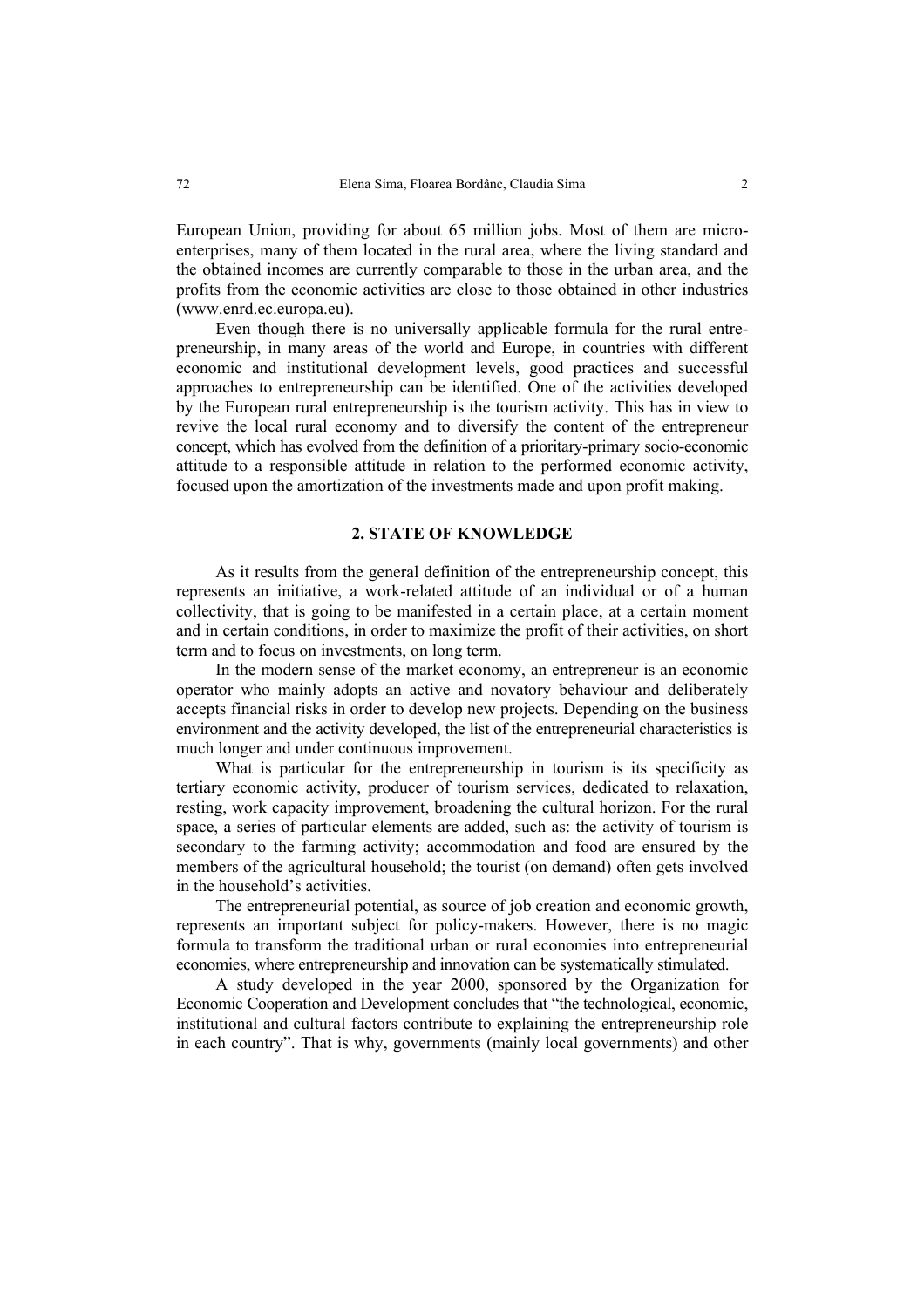European Union, providing for about 65 million jobs. Most of them are microenterprises, many of them located in the rural area, where the living standard and the obtained incomes are currently comparable to those in the urban area, and the profits from the economic activities are close to those obtained in other industries (www.enrd.ec.europa.eu).

Even though there is no universally applicable formula for the rural entrepreneurship, in many areas of the world and Europe, in countries with different economic and institutional development levels, good practices and successful approaches to entrepreneurship can be identified. One of the activities developed by the European rural entrepreneurship is the tourism activity. This has in view to revive the local rural economy and to diversify the content of the entrepreneur concept, which has evolved from the definition of a prioritary-primary socio-economic attitude to a responsible attitude in relation to the performed economic activity, focused upon the amortization of the investments made and upon profit making.

#### **2. STATE OF KNOWLEDGE**

As it results from the general definition of the entrepreneurship concept, this represents an initiative, a work-related attitude of an individual or of a human collectivity, that is going to be manifested in a certain place, at a certain moment and in certain conditions, in order to maximize the profit of their activities, on short term and to focus on investments, on long term.

In the modern sense of the market economy, an entrepreneur is an economic operator who mainly adopts an active and novatory behaviour and deliberately accepts financial risks in order to develop new projects. Depending on the business environment and the activity developed, the list of the entrepreneurial characteristics is much longer and under continuous improvement.

What is particular for the entrepreneurship in tourism is its specificity as tertiary economic activity, producer of tourism services, dedicated to relaxation, resting, work capacity improvement, broadening the cultural horizon. For the rural space, a series of particular elements are added, such as: the activity of tourism is secondary to the farming activity; accommodation and food are ensured by the members of the agricultural household; the tourist (on demand) often gets involved in the household's activities.

The entrepreneurial potential, as source of job creation and economic growth, represents an important subject for policy-makers. However, there is no magic formula to transform the traditional urban or rural economies into entrepreneurial economies, where entrepreneurship and innovation can be systematically stimulated.

A study developed in the year 2000, sponsored by the Organization for Economic Cooperation and Development concludes that "the technological, economic, institutional and cultural factors contribute to explaining the entrepreneurship role in each country". That is why, governments (mainly local governments) and other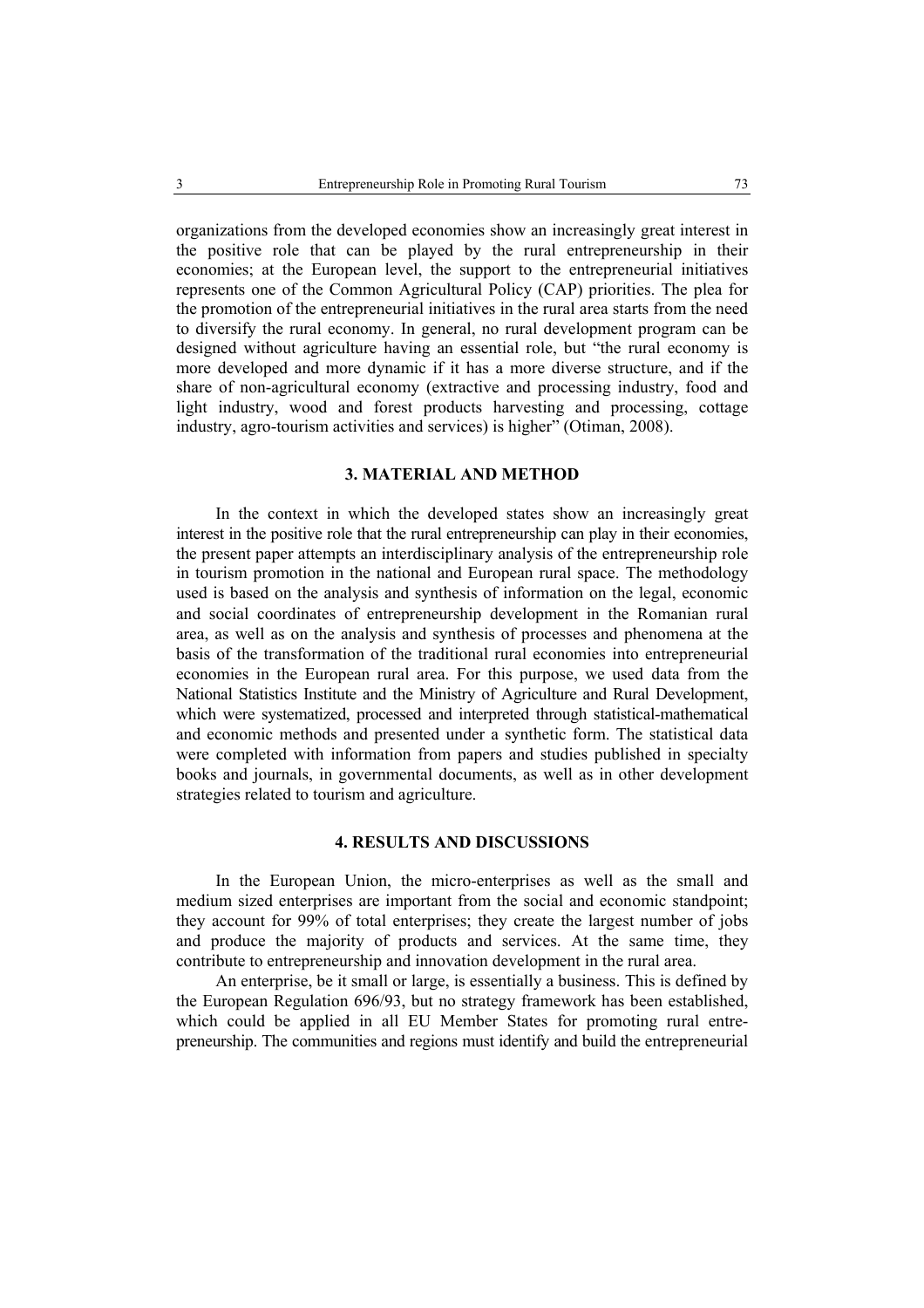organizations from the developed economies show an increasingly great interest in the positive role that can be played by the rural entrepreneurship in their economies; at the European level, the support to the entrepreneurial initiatives represents one of the Common Agricultural Policy (CAP) priorities. The plea for the promotion of the entrepreneurial initiatives in the rural area starts from the need to diversify the rural economy. In general, no rural development program can be designed without agriculture having an essential role, but "the rural economy is more developed and more dynamic if it has a more diverse structure, and if the share of non-agricultural economy (extractive and processing industry, food and light industry, wood and forest products harvesting and processing, cottage industry, agro-tourism activities and services) is higher" (Otiman, 2008).

### **3. MATERIAL AND METHOD**

In the context in which the developed states show an increasingly great interest in the positive role that the rural entrepreneurship can play in their economies, the present paper attempts an interdisciplinary analysis of the entrepreneurship role in tourism promotion in the national and European rural space. The methodology used is based on the analysis and synthesis of information on the legal, economic and social coordinates of entrepreneurship development in the Romanian rural area, as well as on the analysis and synthesis of processes and phenomena at the basis of the transformation of the traditional rural economies into entrepreneurial economies in the European rural area. For this purpose, we used data from the National Statistics Institute and the Ministry of Agriculture and Rural Development, which were systematized, processed and interpreted through statistical-mathematical and economic methods and presented under a synthetic form. The statistical data were completed with information from papers and studies published in specialty books and journals, in governmental documents, as well as in other development strategies related to tourism and agriculture.

## **4. RESULTS AND DISCUSSIONS**

In the European Union, the micro-enterprises as well as the small and medium sized enterprises are important from the social and economic standpoint; they account for 99% of total enterprises; they create the largest number of jobs and produce the majority of products and services. At the same time, they contribute to entrepreneurship and innovation development in the rural area.

An enterprise, be it small or large, is essentially a business. This is defined by the European Regulation 696/93, but no strategy framework has been established, which could be applied in all EU Member States for promoting rural entrepreneurship. The communities and regions must identify and build the entrepreneurial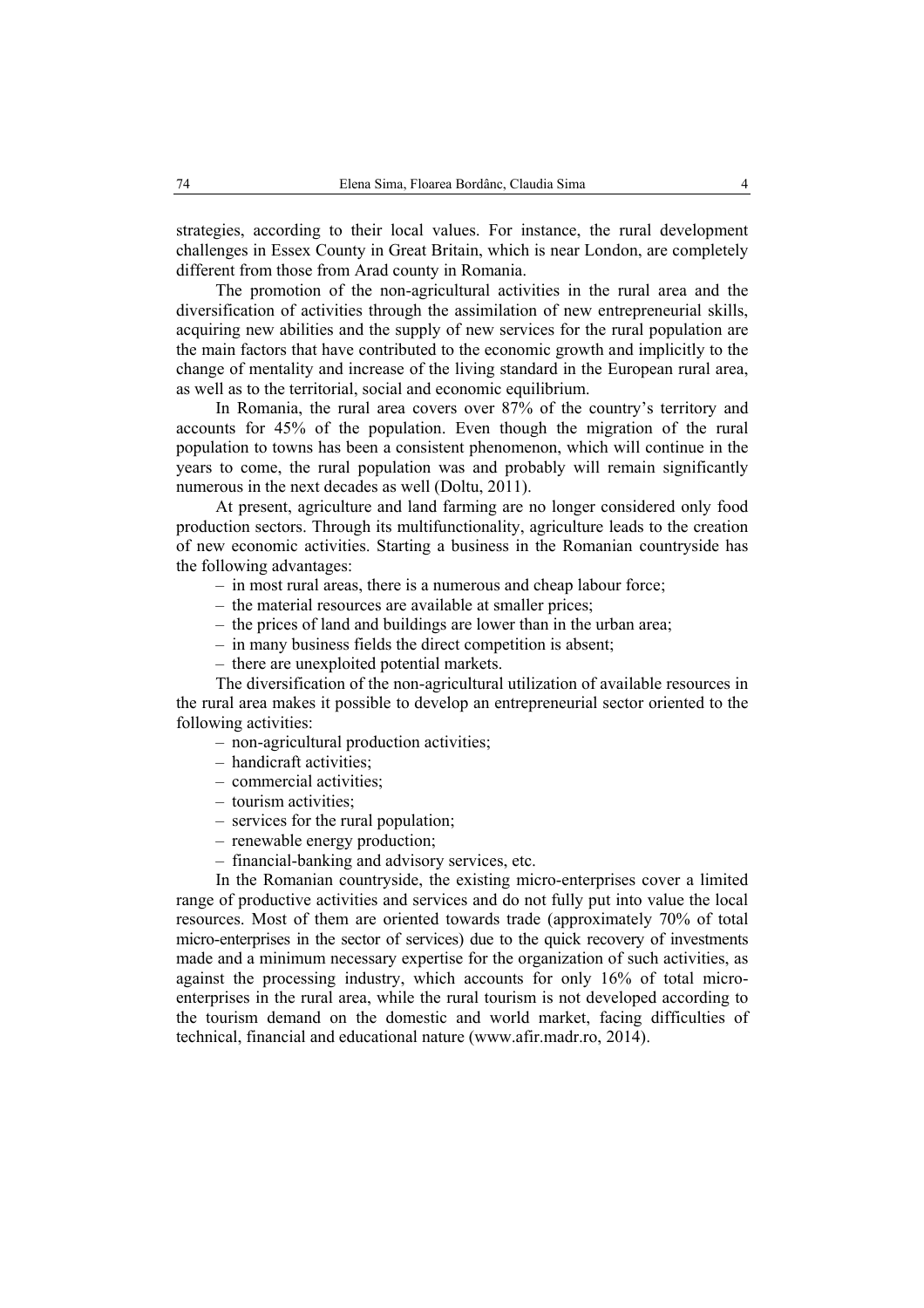strategies, according to their local values. For instance, the rural development challenges in Essex County in Great Britain, which is near London, are completely different from those from Arad county in Romania.

The promotion of the non-agricultural activities in the rural area and the diversification of activities through the assimilation of new entrepreneurial skills, acquiring new abilities and the supply of new services for the rural population are the main factors that have contributed to the economic growth and implicitly to the change of mentality and increase of the living standard in the European rural area, as well as to the territorial, social and economic equilibrium.

In Romania, the rural area covers over 87% of the country's territory and accounts for 45% of the population. Even though the migration of the rural population to towns has been a consistent phenomenon, which will continue in the years to come, the rural population was and probably will remain significantly numerous in the next decades as well (Doltu, 2011).

At present, agriculture and land farming are no longer considered only food production sectors. Through its multifunctionality, agriculture leads to the creation of new economic activities. Starting a business in the Romanian countryside has the following advantages:

- in most rural areas, there is a numerous and cheap labour force;
- the material resources are available at smaller prices;
- the prices of land and buildings are lower than in the urban area;
- in many business fields the direct competition is absent;
- there are unexploited potential markets.

The diversification of the non-agricultural utilization of available resources in the rural area makes it possible to develop an entrepreneurial sector oriented to the following activities:

- non-agricultural production activities;
- handicraft activities;
- commercial activities;
- tourism activities;
- services for the rural population;
- renewable energy production;
- financial-banking and advisory services, etc.

In the Romanian countryside, the existing micro-enterprises cover a limited range of productive activities and services and do not fully put into value the local resources. Most of them are oriented towards trade (approximately 70% of total micro-enterprises in the sector of services) due to the quick recovery of investments made and a minimum necessary expertise for the organization of such activities, as against the processing industry, which accounts for only 16% of total microenterprises in the rural area, while the rural tourism is not developed according to the tourism demand on the domestic and world market, facing difficulties of technical, financial and educational nature (www.afir.madr.ro, 2014).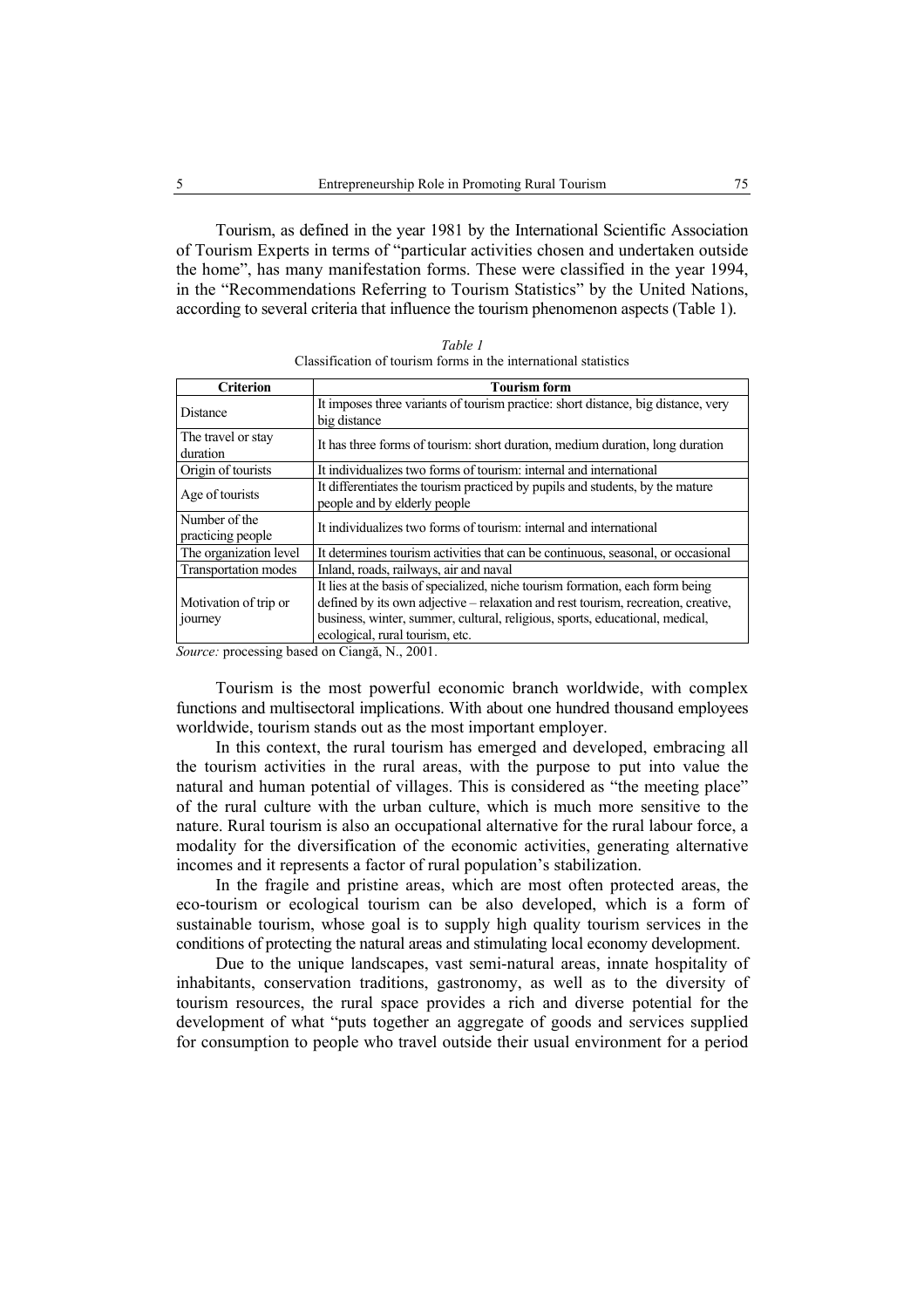Tourism, as defined in the year 1981 by the International Scientific Association of Tourism Experts in terms of "particular activities chosen and undertaken outside the home", has many manifestation forms. These were classified in the year 1994, in the "Recommendations Referring to Tourism Statistics" by the United Nations, according to several criteria that influence the tourism phenomenon aspects (Table 1).

| Table 1                                                         |
|-----------------------------------------------------------------|
| Classification of tourism forms in the international statistics |

| <b>Tourism form</b>                                                               |  |
|-----------------------------------------------------------------------------------|--|
| It imposes three variants of tourism practice: short distance, big distance, very |  |
| big distance                                                                      |  |
| It has three forms of tourism: short duration, medium duration, long duration     |  |
|                                                                                   |  |
| It individualizes two forms of tourism: internal and international                |  |
| It differentiates the tourism practiced by pupils and students, by the mature     |  |
| people and by elderly people                                                      |  |
| It individualizes two forms of tourism: internal and international                |  |
|                                                                                   |  |
| It determines tourism activities that can be continuous, seasonal, or occasional  |  |
| Inland, roads, railways, air and naval                                            |  |
| It lies at the basis of specialized, niche tourism formation, each form being     |  |
| defined by its own adjective – relaxation and rest tourism, recreation, creative, |  |
| business, winter, summer, cultural, religious, sports, educational, medical,      |  |
| ecological, rural tourism, etc.                                                   |  |
|                                                                                   |  |

*Source:* processing based on Ciangă, N., 2001.

Tourism is the most powerful economic branch worldwide, with complex functions and multisectoral implications. With about one hundred thousand employees worldwide, tourism stands out as the most important employer.

In this context, the rural tourism has emerged and developed, embracing all the tourism activities in the rural areas, with the purpose to put into value the natural and human potential of villages. This is considered as "the meeting place" of the rural culture with the urban culture, which is much more sensitive to the nature. Rural tourism is also an occupational alternative for the rural labour force, a modality for the diversification of the economic activities, generating alternative incomes and it represents a factor of rural population's stabilization.

In the fragile and pristine areas, which are most often protected areas, the eco-tourism or ecological tourism can be also developed, which is a form of sustainable tourism, whose goal is to supply high quality tourism services in the conditions of protecting the natural areas and stimulating local economy development.

Due to the unique landscapes, vast semi-natural areas, innate hospitality of inhabitants, conservation traditions, gastronomy, as well as to the diversity of tourism resources, the rural space provides a rich and diverse potential for the development of what "puts together an aggregate of goods and services supplied for consumption to people who travel outside their usual environment for a period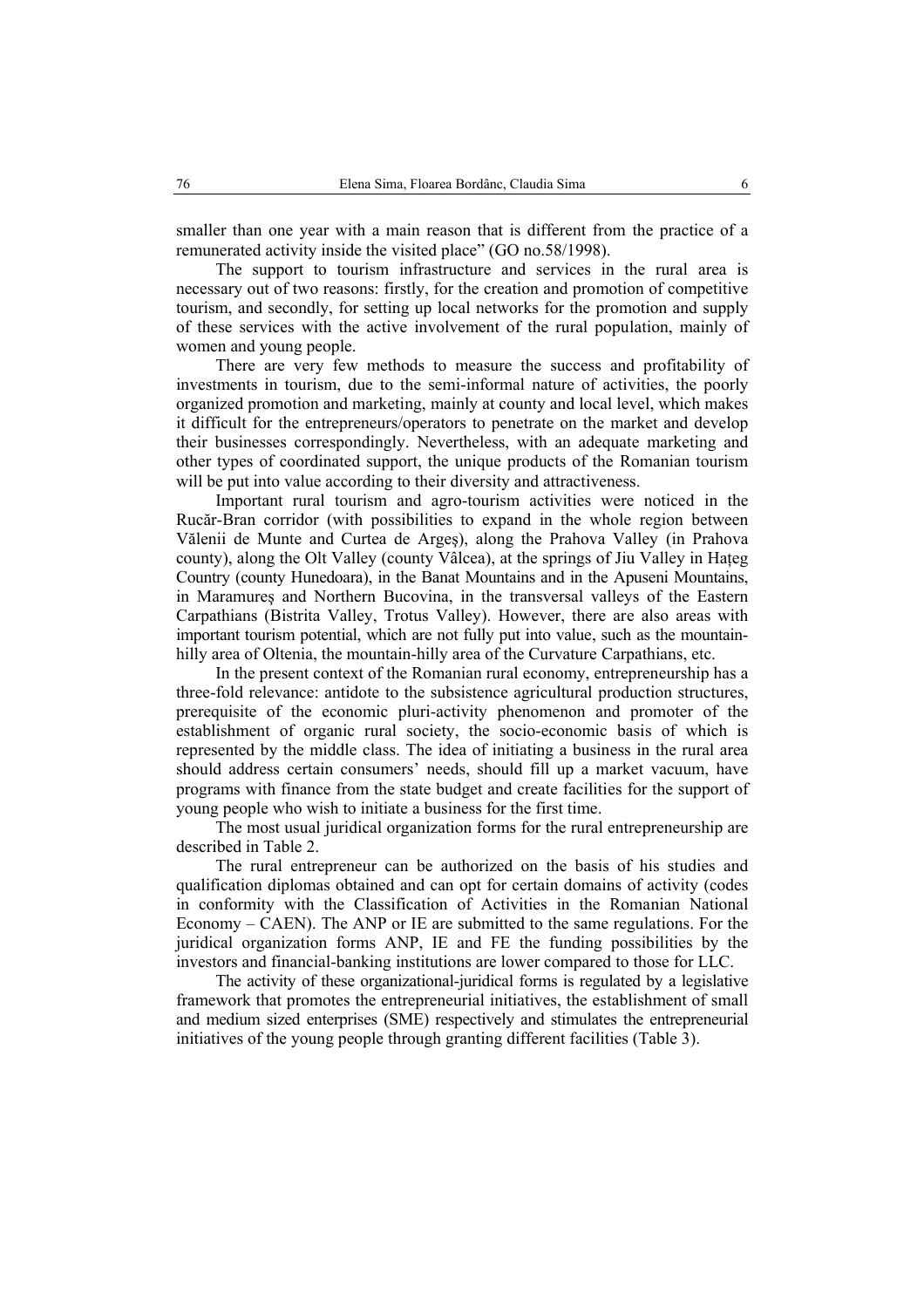smaller than one year with a main reason that is different from the practice of a remunerated activity inside the visited place" (GO no.58/1998).

The support to tourism infrastructure and services in the rural area is necessary out of two reasons: firstly, for the creation and promotion of competitive tourism, and secondly, for setting up local networks for the promotion and supply of these services with the active involvement of the rural population, mainly of women and young people.

There are very few methods to measure the success and profitability of investments in tourism, due to the semi-informal nature of activities, the poorly organized promotion and marketing, mainly at county and local level, which makes it difficult for the entrepreneurs/operators to penetrate on the market and develop their businesses correspondingly. Nevertheless, with an adequate marketing and other types of coordinated support, the unique products of the Romanian tourism will be put into value according to their diversity and attractiveness.

Important rural tourism and agro-tourism activities were noticed in the Rucăr-Bran corridor (with possibilities to expand in the whole region between Vălenii de Munte and Curtea de Argeş), along the Prahova Valley (in Prahova county), along the Olt Valley (county Vâlcea), at the springs of Jiu Valley in Hateg Country (county Hunedoara), in the Banat Mountains and in the Apuseni Mountains, in Maramureş and Northern Bucovina, in the transversal valleys of the Eastern Carpathians (Bistrita Valley, Trotus Valley). However, there are also areas with important tourism potential, which are not fully put into value, such as the mountainhilly area of Oltenia, the mountain-hilly area of the Curvature Carpathians, etc.

In the present context of the Romanian rural economy, entrepreneurship has a three-fold relevance: antidote to the subsistence agricultural production structures, prerequisite of the economic pluri-activity phenomenon and promoter of the establishment of organic rural society, the socio-economic basis of which is represented by the middle class. The idea of initiating a business in the rural area should address certain consumers' needs, should fill up a market vacuum, have programs with finance from the state budget and create facilities for the support of young people who wish to initiate a business for the first time.

The most usual juridical organization forms for the rural entrepreneurship are described in Table 2.

The rural entrepreneur can be authorized on the basis of his studies and qualification diplomas obtained and can opt for certain domains of activity (codes in conformity with the Classification of Activities in the Romanian National Economy – CAEN). The ANP or IE are submitted to the same regulations. For the juridical organization forms ANP, IE and FE the funding possibilities by the investors and financial-banking institutions are lower compared to those for LLC.

The activity of these organizational-juridical forms is regulated by a legislative framework that promotes the entrepreneurial initiatives, the establishment of small and medium sized enterprises (SME) respectively and stimulates the entrepreneurial initiatives of the young people through granting different facilities (Table 3).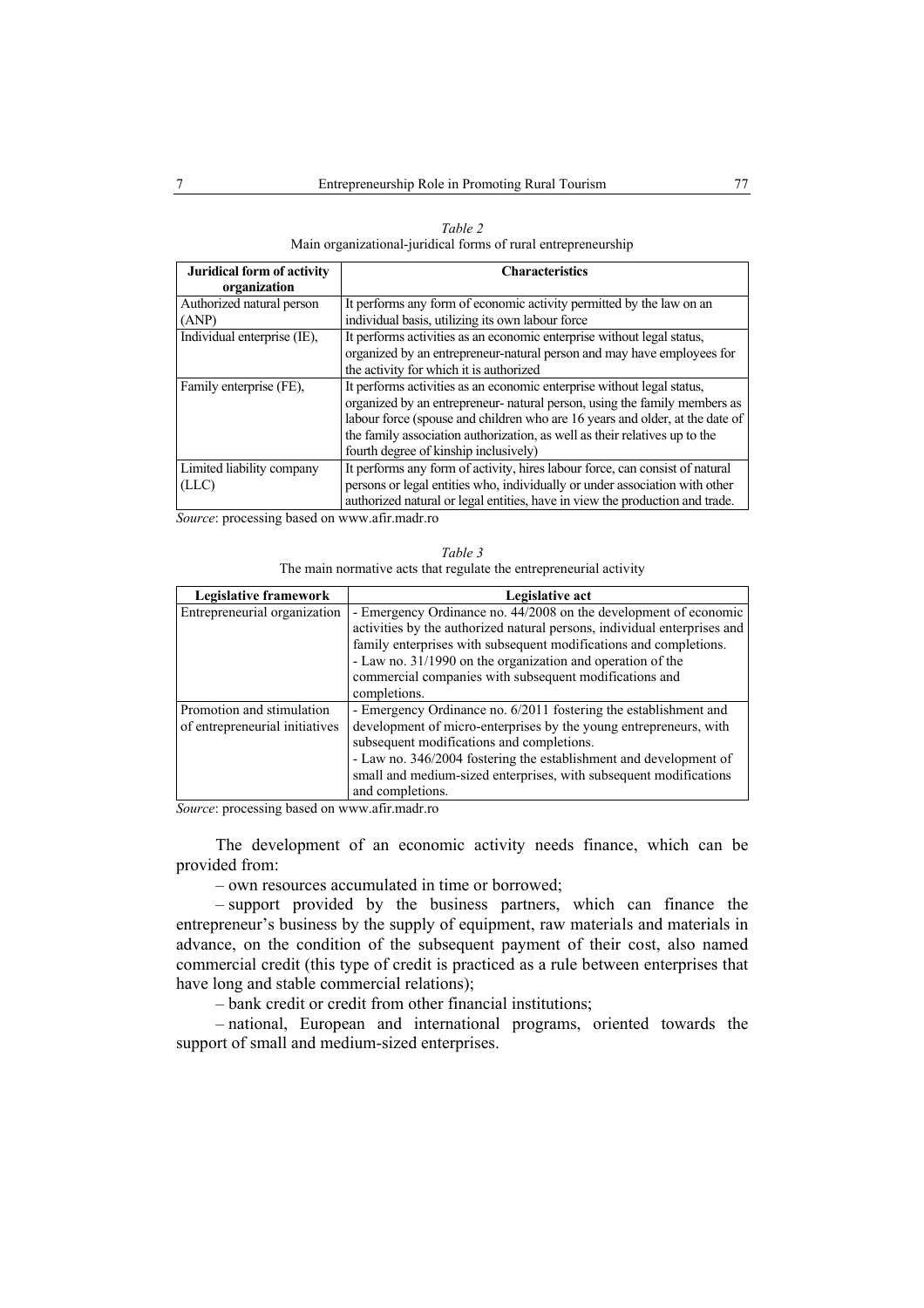| Table 2                                                       |
|---------------------------------------------------------------|
| Main organizational-juridical forms of rural entrepreneurship |

| Juridical form of activity  | <b>Characteristics</b>                                                       |
|-----------------------------|------------------------------------------------------------------------------|
| organization                |                                                                              |
| Authorized natural person   | It performs any form of economic activity permitted by the law on an         |
| (ANP)                       | individual basis, utilizing its own labour force                             |
| Individual enterprise (IE), | It performs activities as an economic enterprise without legal status.       |
|                             | organized by an entrepreneur-natural person and may have employees for       |
|                             | the activity for which it is authorized                                      |
| Family enterprise (FE).     | It performs activities as an economic enterprise without legal status.       |
|                             | organized by an entrepreneur- natural person, using the family members as    |
|                             | labour force (spouse and children who are 16 years and older, at the date of |
|                             | the family association authorization, as well as their relatives up to the   |
|                             | fourth degree of kinship inclusively)                                        |
| Limited liability company   | It performs any form of activity, hires labour force, can consist of natural |
| (LLC)                       | persons or legal entities who, individually or under association with other  |
|                             | authorized natural or legal entities, have in view the production and trade. |

*Source*: processing based on www.afir.madr.ro

*Table 3*  The main normative acts that regulate the entrepreneurial activity

| Legislative framework          | Legislative act                                                          |
|--------------------------------|--------------------------------------------------------------------------|
| Entrepreneurial organization   | - Emergency Ordinance no. 44/2008 on the development of economic         |
|                                | activities by the authorized natural persons, individual enterprises and |
|                                | family enterprises with subsequent modifications and completions.        |
|                                | - Law no. 31/1990 on the organization and operation of the               |
|                                | commercial companies with subsequent modifications and                   |
|                                | completions.                                                             |
| Promotion and stimulation      | - Emergency Ordinance no. 6/2011 fostering the establishment and         |
| of entrepreneurial initiatives | development of micro-enterprises by the young entrepreneurs, with        |
|                                | subsequent modifications and completions.                                |
|                                | - Law no. 346/2004 fostering the establishment and development of        |
|                                | small and medium-sized enterprises, with subsequent modifications        |
|                                | and completions.                                                         |

*Source*: processing based on www.afir.madr.ro

The development of an economic activity needs finance, which can be provided from:

– own resources accumulated in time or borrowed;

– support provided by the business partners, which can finance the entrepreneur's business by the supply of equipment, raw materials and materials in advance, on the condition of the subsequent payment of their cost, also named commercial credit (this type of credit is practiced as a rule between enterprises that have long and stable commercial relations);

– bank credit or credit from other financial institutions;

– national, European and international programs, oriented towards the support of small and medium-sized enterprises.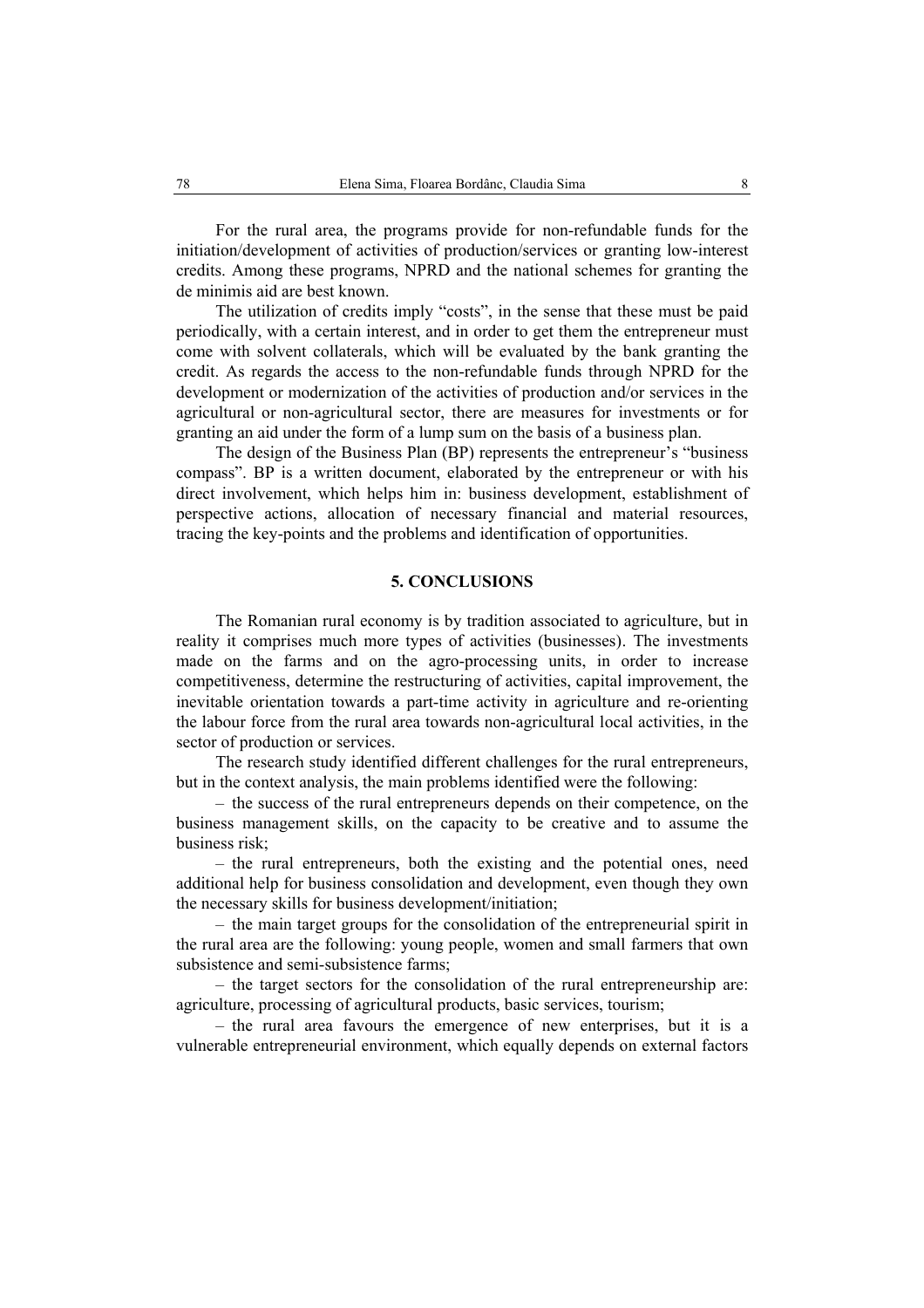For the rural area, the programs provide for non-refundable funds for the initiation/development of activities of production/services or granting low-interest credits. Among these programs, NPRD and the national schemes for granting the de minimis aid are best known.

The utilization of credits imply "costs", in the sense that these must be paid periodically, with a certain interest, and in order to get them the entrepreneur must come with solvent collaterals, which will be evaluated by the bank granting the credit. As regards the access to the non-refundable funds through NPRD for the development or modernization of the activities of production and/or services in the agricultural or non-agricultural sector, there are measures for investments or for granting an aid under the form of a lump sum on the basis of a business plan.

The design of the Business Plan (BP) represents the entrepreneur's "business compass". BP is a written document, elaborated by the entrepreneur or with his direct involvement, which helps him in: business development, establishment of perspective actions, allocation of necessary financial and material resources, tracing the key-points and the problems and identification of opportunities.

### **5. CONCLUSIONS**

The Romanian rural economy is by tradition associated to agriculture, but in reality it comprises much more types of activities (businesses). The investments made on the farms and on the agro-processing units, in order to increase competitiveness, determine the restructuring of activities, capital improvement, the inevitable orientation towards a part-time activity in agriculture and re-orienting the labour force from the rural area towards non-agricultural local activities, in the sector of production or services.

The research study identified different challenges for the rural entrepreneurs, but in the context analysis, the main problems identified were the following:

– the success of the rural entrepreneurs depends on their competence, on the business management skills, on the capacity to be creative and to assume the business risk;

– the rural entrepreneurs, both the existing and the potential ones, need additional help for business consolidation and development, even though they own the necessary skills for business development/initiation;

– the main target groups for the consolidation of the entrepreneurial spirit in the rural area are the following: young people, women and small farmers that own subsistence and semi-subsistence farms;

– the target sectors for the consolidation of the rural entrepreneurship are: agriculture, processing of agricultural products, basic services, tourism;

– the rural area favours the emergence of new enterprises, but it is a vulnerable entrepreneurial environment, which equally depends on external factors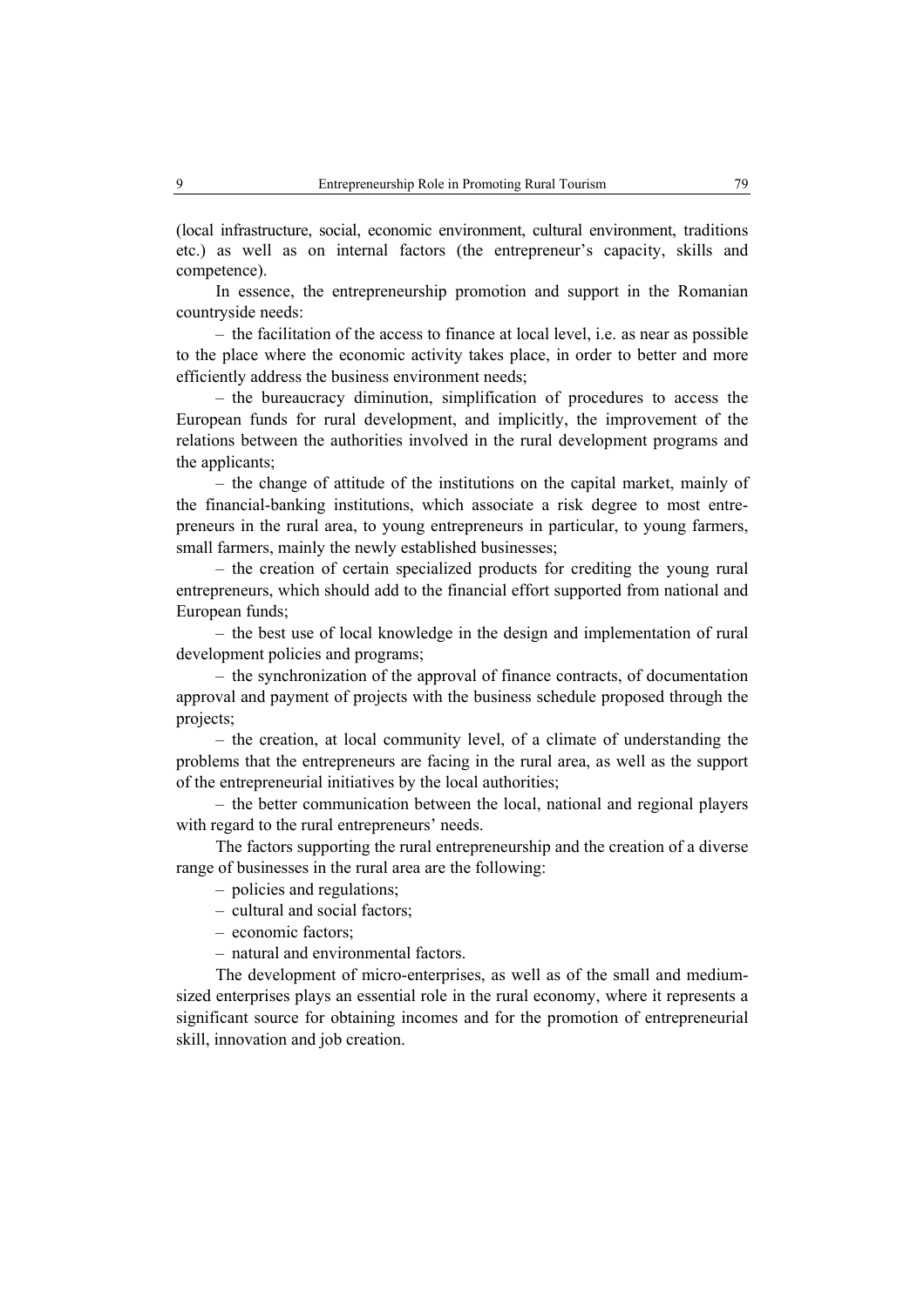(local infrastructure, social, economic environment, cultural environment, traditions etc.) as well as on internal factors (the entrepreneur's capacity, skills and competence).

In essence, the entrepreneurship promotion and support in the Romanian countryside needs:

– the facilitation of the access to finance at local level, i.e. as near as possible to the place where the economic activity takes place, in order to better and more efficiently address the business environment needs;

– the bureaucracy diminution, simplification of procedures to access the European funds for rural development, and implicitly, the improvement of the relations between the authorities involved in the rural development programs and the applicants;

– the change of attitude of the institutions on the capital market, mainly of the financial-banking institutions, which associate a risk degree to most entrepreneurs in the rural area, to young entrepreneurs in particular, to young farmers, small farmers, mainly the newly established businesses;

– the creation of certain specialized products for crediting the young rural entrepreneurs, which should add to the financial effort supported from national and European funds;

– the best use of local knowledge in the design and implementation of rural development policies and programs;

– the synchronization of the approval of finance contracts, of documentation approval and payment of projects with the business schedule proposed through the projects;

– the creation, at local community level, of a climate of understanding the problems that the entrepreneurs are facing in the rural area, as well as the support of the entrepreneurial initiatives by the local authorities;

– the better communication between the local, national and regional players with regard to the rural entrepreneurs' needs.

The factors supporting the rural entrepreneurship and the creation of a diverse range of businesses in the rural area are the following:

– policies and regulations;

– cultural and social factors;

– economic factors;

– natural and environmental factors.

The development of micro-enterprises, as well as of the small and mediumsized enterprises plays an essential role in the rural economy, where it represents a significant source for obtaining incomes and for the promotion of entrepreneurial skill, innovation and job creation.